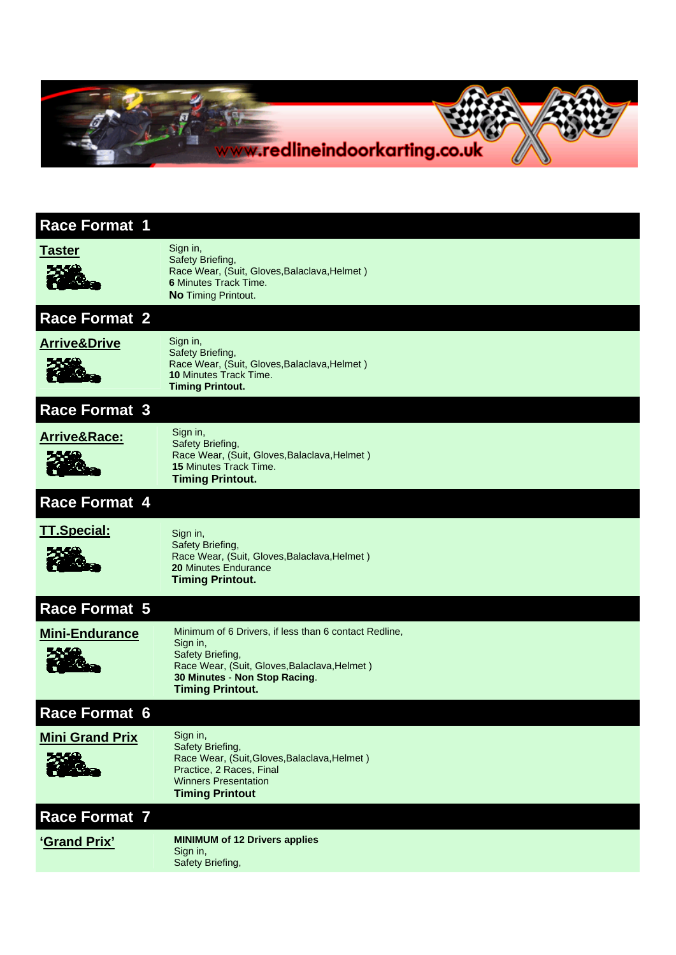

| <b>Race Format 1</b>    |                                                                                                                                                                                                   |
|-------------------------|---------------------------------------------------------------------------------------------------------------------------------------------------------------------------------------------------|
| <b>Taster</b>           | Sign in,<br>Safety Briefing,<br>Race Wear, (Suit, Gloves, Balaclava, Helmet)<br><b>6</b> Minutes Track Time.<br><b>No Timing Printout.</b>                                                        |
| <b>Race Format 2</b>    |                                                                                                                                                                                                   |
| <b>Arrive&amp;Drive</b> | Sign in,<br>Safety Briefing,<br>Race Wear, (Suit, Gloves, Balaclava, Helmet)<br>10 Minutes Track Time.<br><b>Timing Printout.</b>                                                                 |
| <b>Race Format 3</b>    |                                                                                                                                                                                                   |
| <b>Arrive&amp;Race:</b> | Sign in,<br>Safety Briefing,<br>Race Wear, (Suit, Gloves, Balaclava, Helmet)<br>15 Minutes Track Time.<br><b>Timing Printout.</b>                                                                 |
| <b>Race Format 4</b>    |                                                                                                                                                                                                   |
| <b>TT.Special:</b>      | Sign in,<br>Safety Briefing,<br>Race Wear, (Suit, Gloves, Balaclava, Helmet)<br>20 Minutes Endurance<br><b>Timing Printout.</b>                                                                   |
| Race Format 5           |                                                                                                                                                                                                   |
| <b>Mini-Endurance</b>   | Minimum of 6 Drivers, if less than 6 contact Redline,<br>Sign in,<br>Safety Briefing,<br>Race Wear, (Suit, Gloves, Balaclava, Helmet)<br>30 Minutes - Non Stop Racing.<br><b>Timing Printout.</b> |
| <b>Race Format 6</b>    |                                                                                                                                                                                                   |
| <b>Mini Grand Prix</b>  | Sign in,<br>Safety Briefing,<br>Race Wear, (Suit, Gloves, Balaclava, Helmet)<br>Practice, 2 Races, Final<br><b>Winners Presentation</b><br><b>Timing Printout</b>                                 |
| <b>Race Format 7</b>    |                                                                                                                                                                                                   |
| 'Grand Prix'            | <b>MINIMUM of 12 Drivers applies</b><br>Sign in,<br>Safety Briefing,                                                                                                                              |